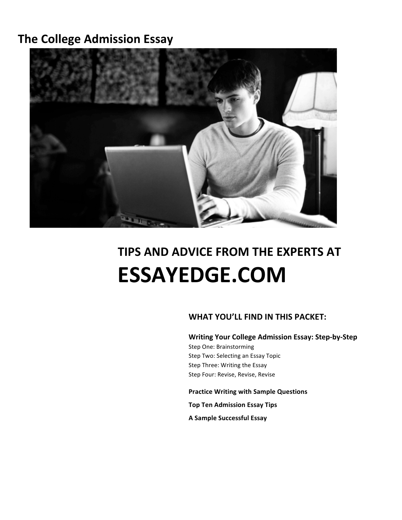# **The College Admission Essay**



# **TIPS AND ADVICE FROM THE EXPERTS AT ESSAYEDGE.COM**

### WHAT YOU'LL FIND IN THIS PACKET:

#### **Writing Your College Admission Essay: Step-by-Step**

Step One: Brainstorming Step Two: Selecting an Essay Topic Step Three: Writing the Essay Step Four: Revise, Revise, Revise

**Practice Writing with Sample Questions** 

**Top Ten Admission Essay Tips** 

**A!Sample!Successful!Essay**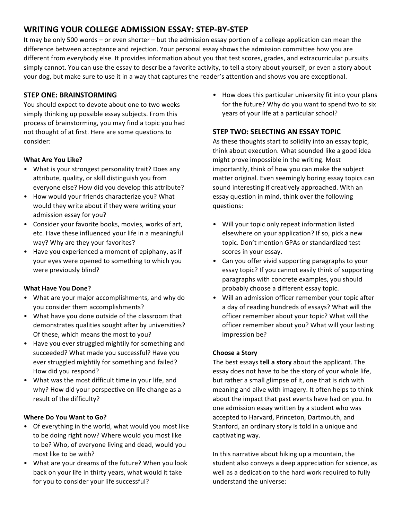## **WRITING YOUR COLLEGE ADMISSION ESSAY: STEP-BY-STEP**

It may be only 500 words – or even shorter – but the admission essay portion of a college application can mean the difference between acceptance and rejection. Your personal essay shows the admission committee how you are different from everybody else. It provides information about you that test scores, grades, and extracurricular pursuits simply cannot. You can use the essay to describe a favorite activity, to tell a story about yourself, or even a story about your dog, but make sure to use it in a way that captures the reader's attention and shows you are exceptional.

#### **STEP ONE: BRAINSTORMING**

You should expect to devote about one to two weeks simply thinking up possible essay subjects. From this process of brainstorming, you may find a topic you had not thought of at first. Here are some questions to consider:

#### **What Are You Like?**

- What is your strongest personality trait? Does any attribute, quality, or skill distinguish you from everyone else? How did you develop this attribute?
- How would your friends characterize you? What would they write about if they were writing your admission essay for you?
- Consider your favorite books, movies, works of art, etc. Have these influenced your life in a meaningful way? Why are they your favorites?
- Have you experienced a moment of epiphany, as if your eyes were opened to something to which you were previously blind?

#### **What Have You Done?**

- What are your major accomplishments, and why do you consider them accomplishments?
- What have you done outside of the classroom that demonstrates qualities sought after by universities? Of these, which means the most to you?
- Have you ever struggled mightily for something and succeeded? What made you successful? Have you ever struggled mightily for something and failed? How did you respond?
- What was the most difficult time in your life, and why? How did your perspective on life change as a result of the difficulty?

#### **Where Do You Want to Go?**

- Of everything in the world, what would you most like to be doing right now? Where would you most like to be? Who, of everyone living and dead, would you most like to be with?
- What are your dreams of the future? When you look back on your life in thirty years, what would it take for you to consider your life successful?

• How does this particular university fit into your plans for the future? Why do you want to spend two to six years of your life at a particular school?

#### **STEP TWO: SELECTING AN ESSAY TOPIC**

As these thoughts start to solidify into an essay topic, think about execution. What sounded like a good idea might prove impossible in the writing. Most importantly, think of how you can make the subject matter original. Even seemingly boring essay topics can sound interesting if creatively approached. With an essay question in mind, think over the following questions:

- Will your topic only repeat information listed elsewhere on your application? If so, pick a new topic. Don't mention GPAs or standardized test scores in your essay.
- Can you offer vivid supporting paragraphs to your essay topic? If you cannot easily think of supporting paragraphs with concrete examples, you should probably choose a different essay topic.
- Will an admission officer remember your topic after a day of reading hundreds of essays? What will the officer remember about your topic? What will the officer remember about you? What will your lasting impression be?

#### **Choose a Story**

The best essays **tell a story** about the applicant. The essay does not have to be the story of your whole life, but rather a small glimpse of it, one that is rich with meaning and alive with imagery. It often helps to think about the impact that past events have had on you. In one admission essay written by a student who was accepted to Harvard, Princeton, Dartmouth, and Stanford, an ordinary story is told in a unique and captivating way.

In this narrative about hiking up a mountain, the student also conveys a deep appreciation for science, as well as a dedication to the hard work required to fully understand the universe: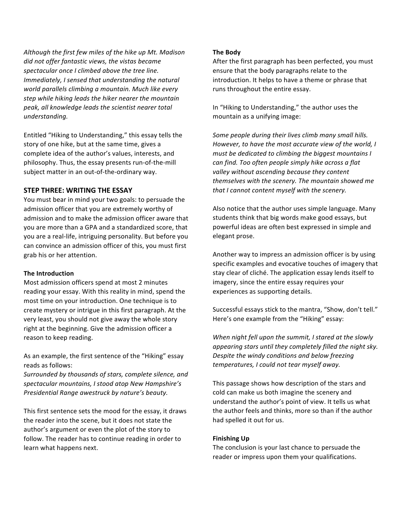Although the first few miles of the hike up Mt. Madison did not offer fantastic views, the vistas became spectacular once I climbed above the tree line. *Immediately, I sensed that understanding the natural* world parallels climbing a mountain. Much like every *step while hiking leads the hiker nearer the mountain* peak, all knowledge leads the scientist nearer total *understanding.(*

Entitled "Hiking to Understanding," this essay tells the story of one hike, but at the same time, gives a complete idea of the author's values, interests, and philosophy. Thus, the essay presents run-of-the-mill subject matter in an out-of-the-ordinary way.

#### **STEP THREE: WRITING THE ESSAY**

You must bear in mind your two goals: to persuade the admission officer that you are extremely worthy of admission and to make the admission officer aware that you are more than a GPA and a standardized score, that you are a real-life, intriguing personality. But before you can convince an admission officer of this, you must first grab his or her attention.

#### **The Introduction**

Most admission officers spend at most 2 minutes reading your essay. With this reality in mind, spend the most time on your introduction. One technique is to create mystery or intrigue in this first paragraph. At the very least, you should not give away the whole story right at the beginning. Give the admission officer a reason to keep reading.

As an example, the first sentence of the "Hiking" essay reads as follows:

Surrounded by thousands of stars, complete silence, and spectacular mountains, I stood atop New Hampshire's *Presidential Range awestruck by nature's beauty.* 

This first sentence sets the mood for the essay, it draws the reader into the scene, but it does not state the author's argument or even the plot of the story to follow. The reader has to continue reading in order to learn what happens next.

#### **The!Body!**

After the first paragraph has been perfected, you must ensure that the body paragraphs relate to the introduction. It helps to have a theme or phrase that runs throughout the entire essay.

In "Hiking to Understanding," the author uses the mountain as a unifying image:

Some people during their lives climb many small hills. However, to have the most accurate view of the world, I *must be dedicated to climbing the biggest mountains I*  $can$  find. Too often people simply hike across a flat  $value$ y without ascending because they content themselves with the scenery. The mountain showed me that I cannot content myself with the scenery.

Also notice that the author uses simple language. Many students think that big words make good essays, but powerful ideas are often best expressed in simple and elegant prose.

Another way to impress an admission officer is by using specific examples and evocative touches of imagery that stay clear of cliché. The application essay lends itself to imagery, since the entire essay requires your experiences as supporting details.

Successful essays stick to the mantra, "Show, don't tell." Here's one example from the "Hiking" essay:

*When night fell upon the summit, I stared at the slowly* appearing stars until they completely filled the night sky. **Despite the windy conditions and below freezing** temperatures, I could not tear myself away.

This passage shows how description of the stars and cold can make us both imagine the scenery and understand the author's point of view. It tells us what the author feels and thinks, more so than if the author had spelled it out for us.

#### **Finishing!Up!**

The conclusion is your last chance to persuade the reader or impress upon them your qualifications.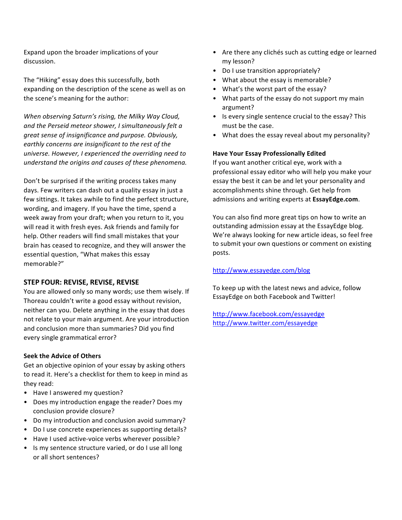Expand upon the broader implications of your discussion.

The "Hiking" essay does this successfully, both expanding on the description of the scene as well as on the scene's meaning for the author:

*When observing Saturn's rising, the Milky Way Cloud, and the Perseid meteor shower, I simultaneously felt a great sense of insignificance and purpose. Obviously,* earthly concerns are insignificant to the rest of the *universe. However, I experienced the overriding need to understand the origins and causes of these phenomena.* 

Don't be surprised if the writing process takes many days. Few writers can dash out a quality essay in just a few sittings. It takes awhile to find the perfect structure, wording, and imagery. If you have the time, spend a week away from your draft; when you return to it, you will read it with fresh eyes. Ask friends and family for help. Other readers will find small mistakes that your brain has ceased to recognize, and they will answer the essential question, "What makes this essay memorable?"

#### **STEP FOUR: REVISE, REVISE, REVISE**

You are allowed only so many words; use them wisely. If Thoreau couldn't write a good essay without revision, neither can you. Delete anything in the essay that does not relate to your main argument. Are your introduction and conclusion more than summaries? Did you find every single grammatical error?

#### **Seek the Advice of Others**

Get an objective opinion of your essay by asking others to read it. Here's a checklist for them to keep in mind as they read:

- Have I answered my question?
- Does my introduction engage the reader? Does my conclusion provide closure?
- Do my introduction and conclusion avoid summary?
- Do I use concrete experiences as supporting details?
- Have I used active-voice verbs wherever possible?
- Is my sentence structure varied, or do I use all long or all short sentences?
- Are there any clichés such as cutting edge or learned my lesson?
- Do I use transition appropriately?
- What about the essay is memorable?
- What's the worst part of the essay?
- What parts of the essay do not support my main argument?
- Is every single sentence crucial to the essay? This must be the case.
- What does the essay reveal about my personality?

#### **Have Your Essay Professionally Edited**

If you want another critical eye, work with a professional essay editor who will help you make your essay the best it can be and let your personality and accomplishments shine through. Get help from admissions!and!writing!experts!at!**EssayEdge.com**.!

You can also find more great tips on how to write an outstanding admission essay at the EssayEdge blog. We're always looking for new article ideas, so feel free to submit your own questions or comment on existing posts.

#### http://www.essayedge.com/blog

To keep up with the latest news and advice, follow EssayEdge on both Facebook and Twitter!

http://www.facebook.com/essayedge http://www.twitter.com/essayedge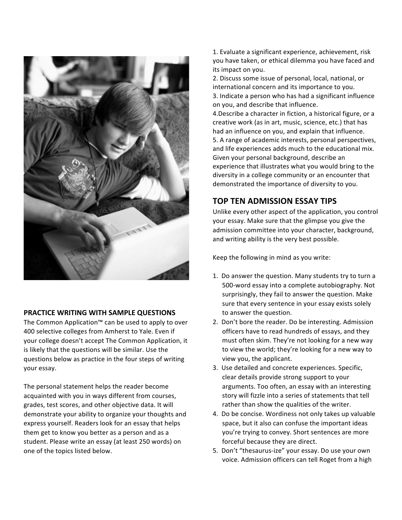

#### **PRACTICE WRITING WITH SAMPLE QUESTIONS!**

The Common Application™ can be used to apply to over 400 selective colleges from Amherst to Yale. Even if your college doesn't accept The Common Application, it is likely that the questions will be similar. Use the questions below as practice in the four steps of writing your essay.

The personal statement helps the reader become acquainted with you in ways different from courses, grades, test scores, and other objective data. It will demonstrate your ability to organize your thoughts and express yourself. Readers look for an essay that helps them get to know you better as a person and as a student. Please write an essay (at least 250 words) on one of the topics listed below.

1. Evaluate a significant experience, achievement, risk you have taken, or ethical dilemma you have faced and its impact on you.

2. Discuss some issue of personal, local, national, or international concern and its importance to you. 3. Indicate a person who has had a significant influence on you, and describe that influence.

4. Describe a character in fiction, a historical figure, or a creative work (as in art, music, science, etc.) that has had an influence on you, and explain that influence. 5. A range of academic interests, personal perspectives, and life experiences adds much to the educational mix. Given your personal background, describe an experience that illustrates what you would bring to the diversity in a college community or an encounter that demonstrated the importance of diversity to you.

# **TOP!TEN!ADMISSION!ESSAY!TIPS!**

Unlike every other aspect of the application, you control your essay. Make sure that the glimpse you give the admission committee into your character, background, and writing ability is the very best possible.

Keep the following in mind as you write:

- 1. Do answer the question. Many students try to turn a 500-word essay into a complete autobiography. Not surprisingly, they fail to answer the question. Make sure that every sentence in your essay exists solely to answer the question.
- 2. Don't bore the reader. Do be interesting. Admission officers have to read hundreds of essays, and they must often skim. They're not looking for a new way to view the world; they're looking for a new way to view you, the applicant.
- 3. Use detailed and concrete experiences. Specific, clear details provide strong support to your arguments. Too often, an essay with an interesting story will fizzle into a series of statements that tell rather than show the qualities of the writer.
- 4. Do be concise. Wordiness not only takes up valuable space, but it also can confuse the important ideas you're trying to convey. Short sentences are more forceful because they are direct.
- 5. Don't "thesaurus-ize" your essay. Do use your own voice. Admission officers can tell Roget from a high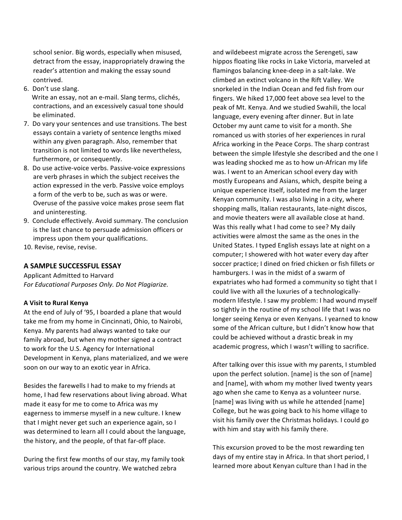school senior. Big words, especially when misused, detract from the essay, inappropriately drawing the reader's attention and making the essay sound contrived.

6. Don't use slang.

Write an essay, not an e-mail. Slang terms, clichés, contractions, and an excessively casual tone should be eliminated.

- 7. Do vary your sentences and use transitions. The best essays contain a variety of sentence lengths mixed within any given paragraph. Also, remember that transition is not limited to words like nevertheless, furthermore, or consequently.
- 8. Do use active-voice verbs. Passive-voice expressions are verb phrases in which the subject receives the action expressed in the verb. Passive voice employs a form of the verb to be, such as was or were. Overuse of the passive voice makes prose seem flat and uninteresting.
- 9. Conclude effectively. Avoid summary. The conclusion is the last chance to persuade admission officers or impress upon them your qualifications.
- 10. Revise, revise, revise.

#### **A!SAMPLE!SUCCESSFUL!ESSAY!!**

Applicant Admitted to Harvard For Educational Purposes Only. Do Not Plagiarize.

#### **A Visit to Rural Kenya**

At the end of July of '95, I boarded a plane that would take me from my home in Cincinnati, Ohio, to Nairobi, Kenya. My parents had always wanted to take our family abroad, but when my mother signed a contract to work for the U.S. Agency for International Development in Kenya, plans materialized, and we were soon on our way to an exotic year in Africa.

Besides the farewells I had to make to my friends at home, I had few reservations about living abroad. What made it easy for me to come to Africa was my eagerness to immerse myself in a new culture. I knew that I might never get such an experience again, so I was determined to learn all I could about the language, the history, and the people, of that far-off place.

During the first few months of our stay, my family took various trips around the country. We watched zebra

and wildebeest migrate across the Serengeti, saw hippos floating like rocks in Lake Victoria, marveled at flamingos balancing knee-deep in a salt-lake. We climbed an extinct volcano in the Rift Valley. We snorkeled in the Indian Ocean and fed fish from our fingers. We hiked 17,000 feet above sea level to the peak of Mt. Kenya. And we studied Swahili, the local language, every evening after dinner. But in late October my aunt came to visit for a month. She romanced us with stories of her experiences in rural Africa working in the Peace Corps. The sharp contrast between the simple lifestyle she described and the one I was leading shocked me as to how un-African my life was. I went to an American school every day with mostly Europeans and Asians, which, despite being a unique experience itself, isolated me from the larger Kenyan community. I was also living in a city, where shopping malls, Italian restaurants, late-night discos, and movie theaters were all available close at hand. Was this really what I had come to see? My daily activities were almost the same as the ones in the United States. I typed English essays late at night on a computer; I showered with hot water every day after soccer practice; I dined on fried chicken or fish fillets or hamburgers. I was in the midst of a swarm of expatriates who had formed a community so tight that I could live with all the luxuries of a technologicallymodern lifestyle. I saw my problem: I had wound myself so tightly in the routine of my school life that I was no longer seeing Kenya or even Kenyans. I yearned to know some of the African culture, but I didn't know how that could be achieved without a drastic break in my academic progress, which I wasn't willing to sacrifice.

After talking over this issue with my parents, I stumbled upon the perfect solution. [name] is the son of [name] and [name], with whom my mother lived twenty years ago when she came to Kenya as a volunteer nurse. [name] was living with us while he attended [name] College, but he was going back to his home village to visit his family over the Christmas holidays. I could go with him and stay with his family there.

This excursion proved to be the most rewarding ten days of my entire stay in Africa. In that short period, I learned more about Kenyan culture than I had in the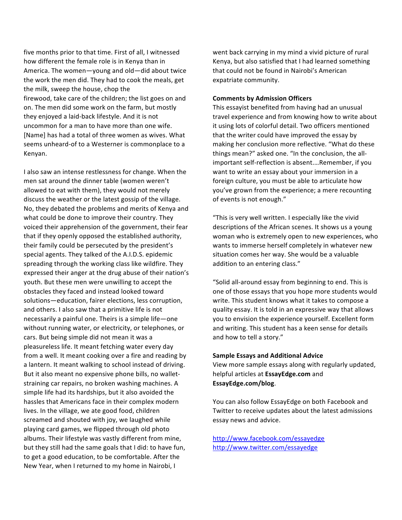five months prior to that time. First of all, I witnessed how different the female role is in Kenya than in America. The women—young and old—did about twice the work the men did. They had to cook the meals, get the milk, sweep the house, chop the firewood, take care of the children; the list goes on and on. The men did some work on the farm, but mostly they enjoyed a laid-back lifestyle. And it is not uncommon for a man to have more than one wife. [Name] has had a total of three women as wives. What seems unheard-of to a Westerner is commonplace to a Kenyan.!

I also saw an intense restlessness for change. When the men sat around the dinner table (women weren't allowed to eat with them), they would not merely discuss the weather or the latest gossip of the village. No, they debated the problems and merits of Kenya and what could be done to improve their country. They voiced their apprehension of the government, their fear that if they openly opposed the established authority, their family could be persecuted by the president's special agents. They talked of the A.I.D.S. epidemic spreading through the working class like wildfire. They expressed their anger at the drug abuse of their nation's youth. But these men were unwilling to accept the obstacles they faced and instead looked toward solutions—education, fairer elections, less corruption, and others. I also saw that a primitive life is not necessarily a painful one. Theirs is a simple life—one without running water, or electricity, or telephones, or cars. But being simple did not mean it was a pleasureless life. It meant fetching water every day from a well. It meant cooking over a fire and reading by a lantern. It meant walking to school instead of driving. But it also meant no expensive phone bills, no walletstraining car repairs, no broken washing machines. A simple life had its hardships, but it also avoided the hassles that Americans face in their complex modern lives. In the village, we ate good food, children screamed and shouted with joy, we laughed while playing card games, we flipped through old photo albums. Their lifestyle was vastly different from mine, but they still had the same goals that I did: to have fun, to get a good education, to be comfortable. After the New Year, when I returned to my home in Nairobi, I

went back carrying in my mind a vivid picture of rural Kenya, but also satisfied that I had learned something that could not be found in Nairobi's American expatriate community.

#### **Comments by Admission Officers**

This essayist benefited from having had an unusual travel experience and from knowing how to write about it using lots of colorful detail. Two officers mentioned that the writer could have improved the essay by making her conclusion more reflective. "What do these things mean?" asked one. "In the conclusion, the allimportant self-reflection is absent....Remember, if you want to write an essay about your immersion in a foreign culture, you must be able to articulate how you've grown from the experience; a mere recounting of events is not enough."

"This is very well written. I especially like the vivid descriptions of the African scenes. It shows us a young woman who is extremely open to new experiences, who wants to immerse herself completely in whatever new situation comes her way. She would be a valuable addition to an entering class."

"Solid all-around essay from beginning to end. This is one of those essays that you hope more students would write. This student knows what it takes to compose a quality essay. It is told in an expressive way that allows you to envision the experience yourself. Excellent form and writing. This student has a keen sense for details and how to tell a story."

#### **Sample Essays and Additional Advice**

View more sample essays along with regularly updated, helpful articles at **EssayEdge.com** and **EssayEdge.com/blog**.!

You can also follow EssayEdge on both Facebook and Twitter to receive updates about the latest admissions essay news and advice.

http://www.facebook.com/essayedge http://www.twitter.com/essayedge